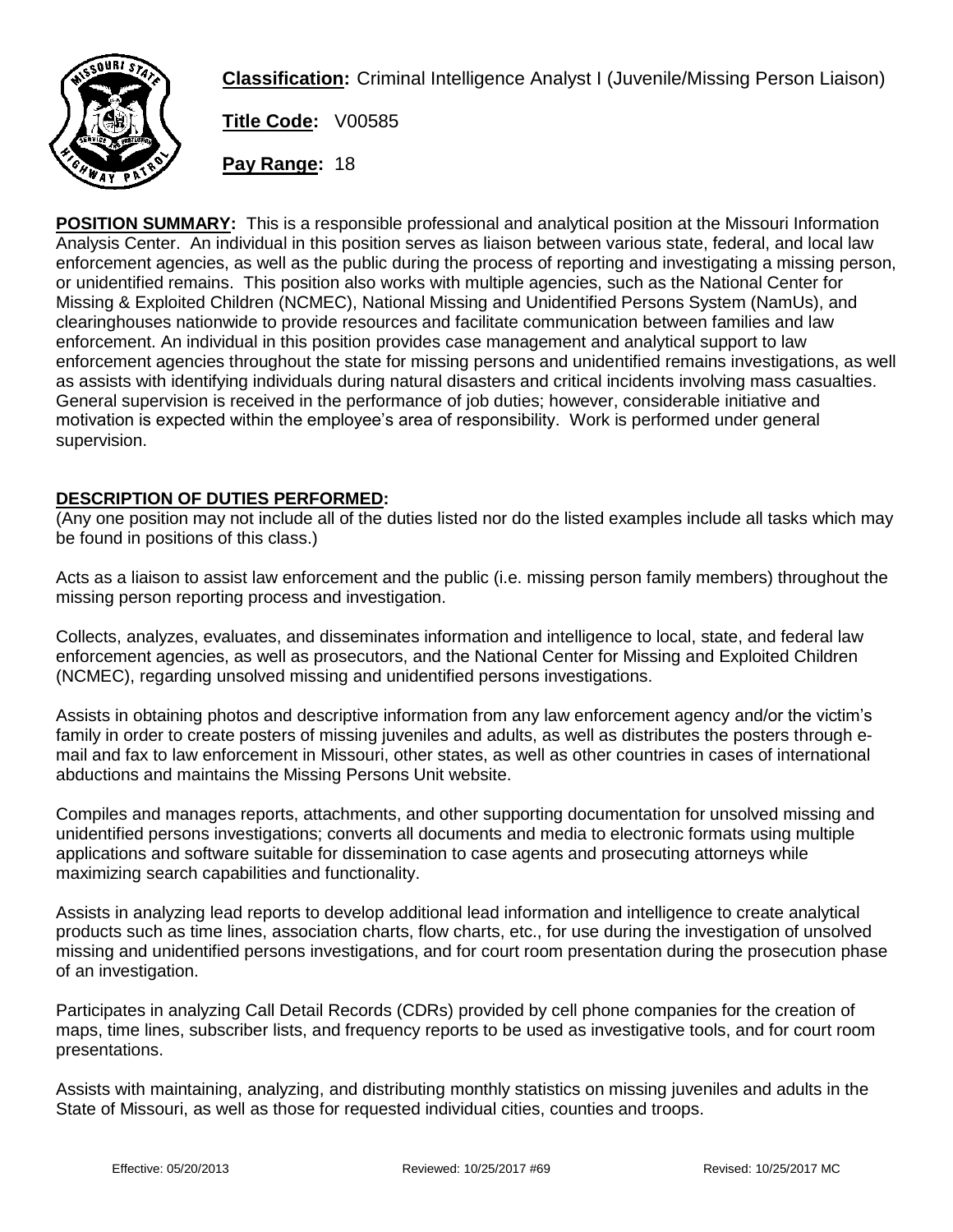

**Classification:** Criminal Intelligence Analyst I (Juvenile/Missing Person Liaison)

**Title Code:** V00585

**Pay Range:** 18

**POSITION SUMMARY:** This is a responsible professional and analytical position at the Missouri Information Analysis Center. An individual in this position serves as liaison between various state, federal, and local law enforcement agencies, as well as the public during the process of reporting and investigating a missing person, or unidentified remains. This position also works with multiple agencies, such as the National Center for Missing & Exploited Children (NCMEC), National Missing and Unidentified Persons System (NamUs), and clearinghouses nationwide to provide resources and facilitate communication between families and law enforcement. An individual in this position provides case management and analytical support to law enforcement agencies throughout the state for missing persons and unidentified remains investigations, as well as assists with identifying individuals during natural disasters and critical incidents involving mass casualties. General supervision is received in the performance of job duties; however, considerable initiative and motivation is expected within the employee's area of responsibility. Work is performed under general supervision.

## **DESCRIPTION OF DUTIES PERFORMED:**

(Any one position may not include all of the duties listed nor do the listed examples include all tasks which may be found in positions of this class.)

Acts as a liaison to assist law enforcement and the public (i.e. missing person family members) throughout the missing person reporting process and investigation.

Collects, analyzes, evaluates, and disseminates information and intelligence to local, state, and federal law enforcement agencies, as well as prosecutors, and the National Center for Missing and Exploited Children (NCMEC), regarding unsolved missing and unidentified persons investigations.

Assists in obtaining photos and descriptive information from any law enforcement agency and/or the victim's family in order to create posters of missing juveniles and adults, as well as distributes the posters through email and fax to law enforcement in Missouri, other states, as well as other countries in cases of international abductions and maintains the Missing Persons Unit website.

Compiles and manages reports, attachments, and other supporting documentation for unsolved missing and unidentified persons investigations; converts all documents and media to electronic formats using multiple applications and software suitable for dissemination to case agents and prosecuting attorneys while maximizing search capabilities and functionality.

Assists in analyzing lead reports to develop additional lead information and intelligence to create analytical products such as time lines, association charts, flow charts, etc., for use during the investigation of unsolved missing and unidentified persons investigations, and for court room presentation during the prosecution phase of an investigation.

Participates in analyzing Call Detail Records (CDRs) provided by cell phone companies for the creation of maps, time lines, subscriber lists, and frequency reports to be used as investigative tools, and for court room presentations.

Assists with maintaining, analyzing, and distributing monthly statistics on missing juveniles and adults in the State of Missouri, as well as those for requested individual cities, counties and troops.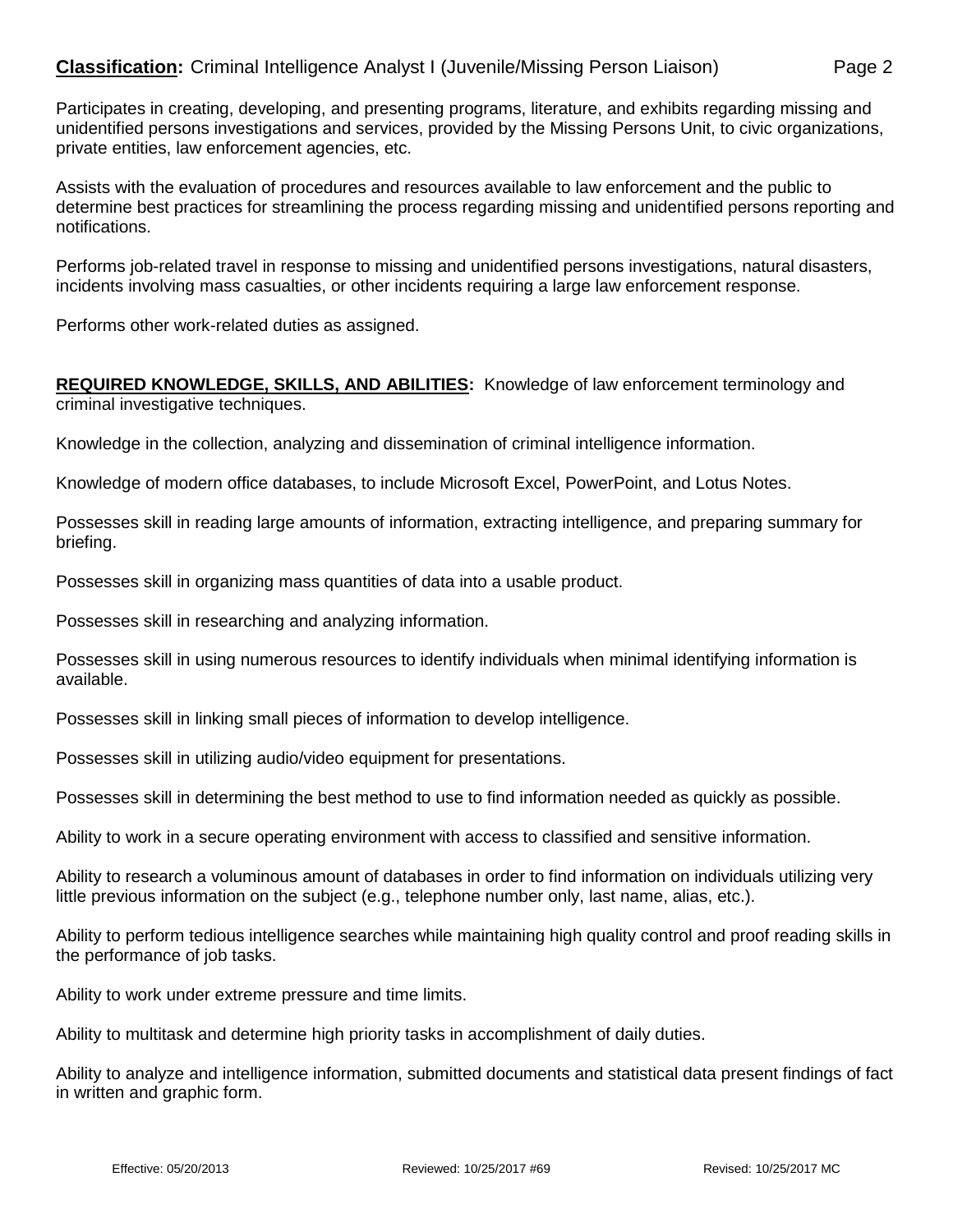Participates in creating, developing, and presenting programs, literature, and exhibits regarding missing and unidentified persons investigations and services, provided by the Missing Persons Unit, to civic organizations, private entities, law enforcement agencies, etc.

Assists with the evaluation of procedures and resources available to law enforcement and the public to determine best practices for streamlining the process regarding missing and unidentified persons reporting and notifications.

Performs job-related travel in response to missing and unidentified persons investigations, natural disasters, incidents involving mass casualties, or other incidents requiring a large law enforcement response.

Performs other work-related duties as assigned.

## **REQUIRED KNOWLEDGE, SKILLS, AND ABILITIES:** Knowledge of law enforcement terminology and criminal investigative techniques.

Knowledge in the collection, analyzing and dissemination of criminal intelligence information.

Knowledge of modern office databases, to include Microsoft Excel, PowerPoint, and Lotus Notes.

Possesses skill in reading large amounts of information, extracting intelligence, and preparing summary for briefing.

Possesses skill in organizing mass quantities of data into a usable product.

Possesses skill in researching and analyzing information.

Possesses skill in using numerous resources to identify individuals when minimal identifying information is available.

Possesses skill in linking small pieces of information to develop intelligence.

Possesses skill in utilizing audio/video equipment for presentations.

Possesses skill in determining the best method to use to find information needed as quickly as possible.

Ability to work in a secure operating environment with access to classified and sensitive information.

Ability to research a voluminous amount of databases in order to find information on individuals utilizing very little previous information on the subject (e.g., telephone number only, last name, alias, etc.).

Ability to perform tedious intelligence searches while maintaining high quality control and proof reading skills in the performance of job tasks.

Ability to work under extreme pressure and time limits.

Ability to multitask and determine high priority tasks in accomplishment of daily duties.

Ability to analyze and intelligence information, submitted documents and statistical data present findings of fact in written and graphic form.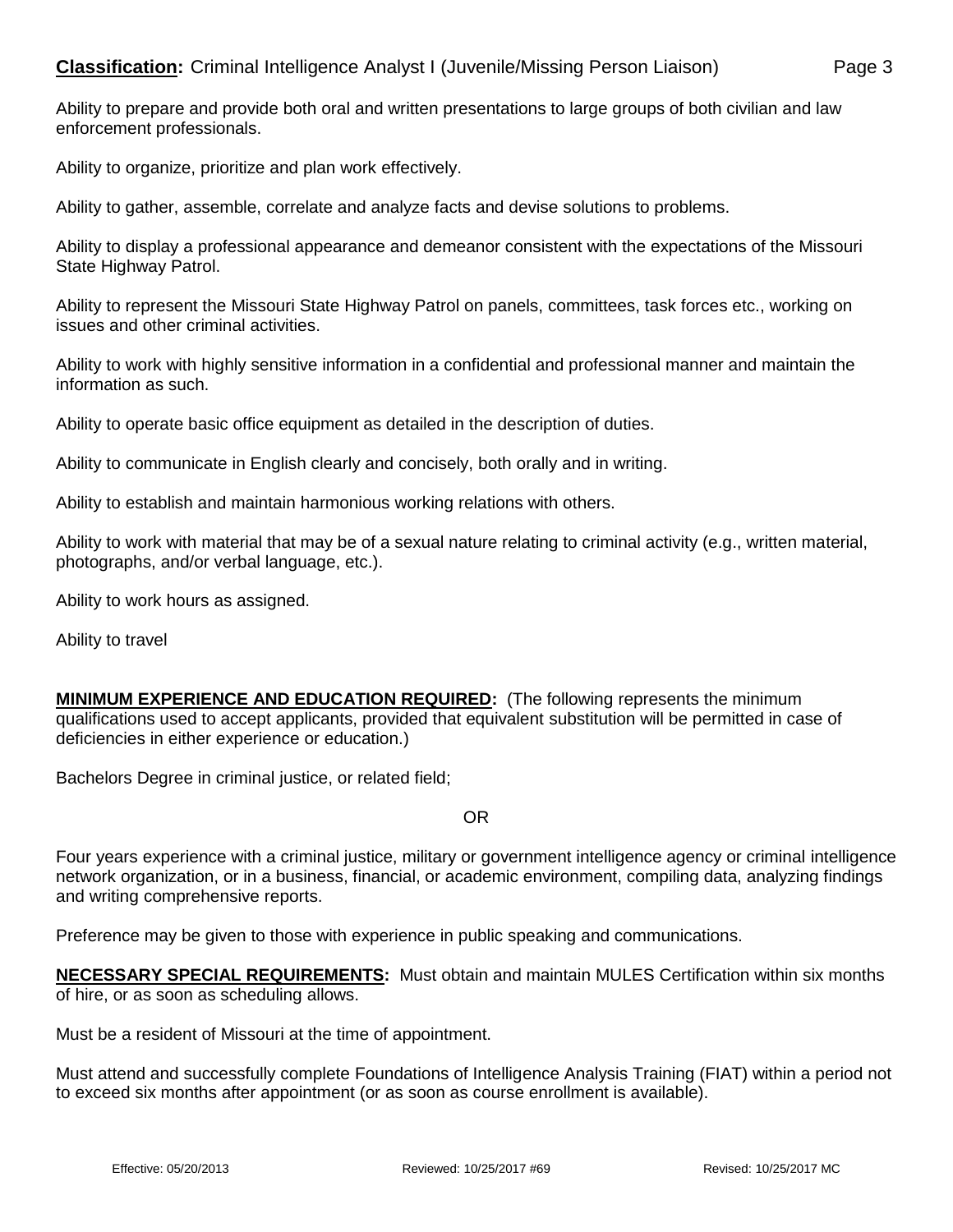Ability to prepare and provide both oral and written presentations to large groups of both civilian and law enforcement professionals.

Ability to organize, prioritize and plan work effectively.

Ability to gather, assemble, correlate and analyze facts and devise solutions to problems.

Ability to display a professional appearance and demeanor consistent with the expectations of the Missouri State Highway Patrol.

Ability to represent the Missouri State Highway Patrol on panels, committees, task forces etc., working on issues and other criminal activities.

Ability to work with highly sensitive information in a confidential and professional manner and maintain the information as such.

Ability to operate basic office equipment as detailed in the description of duties.

Ability to communicate in English clearly and concisely, both orally and in writing.

Ability to establish and maintain harmonious working relations with others.

Ability to work with material that may be of a sexual nature relating to criminal activity (e.g., written material, photographs, and/or verbal language, etc.).

Ability to work hours as assigned.

Ability to travel

**MINIMUM EXPERIENCE AND EDUCATION REQUIRED:** (The following represents the minimum qualifications used to accept applicants, provided that equivalent substitution will be permitted in case of deficiencies in either experience or education.)

Bachelors Degree in criminal justice, or related field;

## OR

Four years experience with a criminal justice, military or government intelligence agency or criminal intelligence network organization, or in a business, financial, or academic environment, compiling data, analyzing findings and writing comprehensive reports.

Preference may be given to those with experience in public speaking and communications.

**NECESSARY SPECIAL REQUIREMENTS:** Must obtain and maintain MULES Certification within six months of hire, or as soon as scheduling allows.

Must be a resident of Missouri at the time of appointment.

Must attend and successfully complete Foundations of Intelligence Analysis Training (FIAT) within a period not to exceed six months after appointment (or as soon as course enrollment is available).